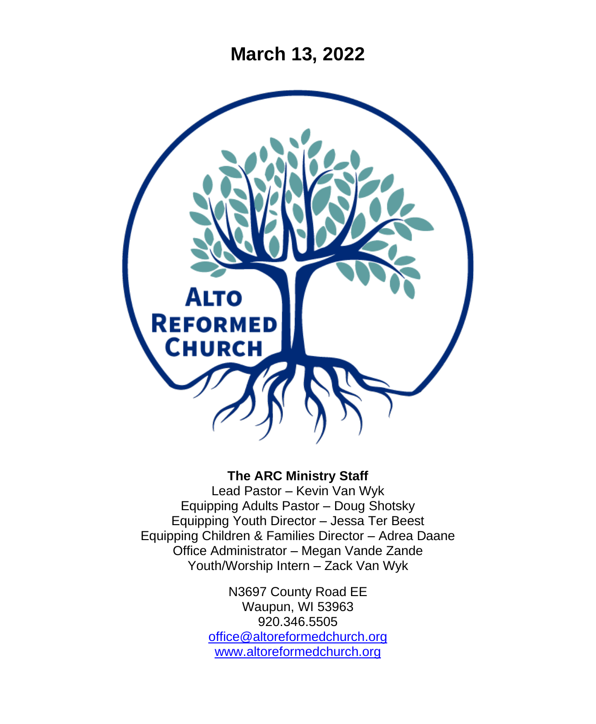**March 13, 2022**



#### **The ARC Ministry Staff**

Lead Pastor – Kevin Van Wyk Equipping Adults Pastor – Doug Shotsky Equipping Youth Director – Jessa Ter Beest Equipping Children & Families Director – Adrea Daane Office Administrator – Megan Vande Zande Youth/Worship Intern – Zack Van Wyk

> N3697 County Road EE Waupun, WI 53963 920.346.5505 [office@altoreformedchurch.org](mailto:office@altoreformedchurch.org) [www.altoreformedchurch.org](http://www.altoreformedchurch.org/)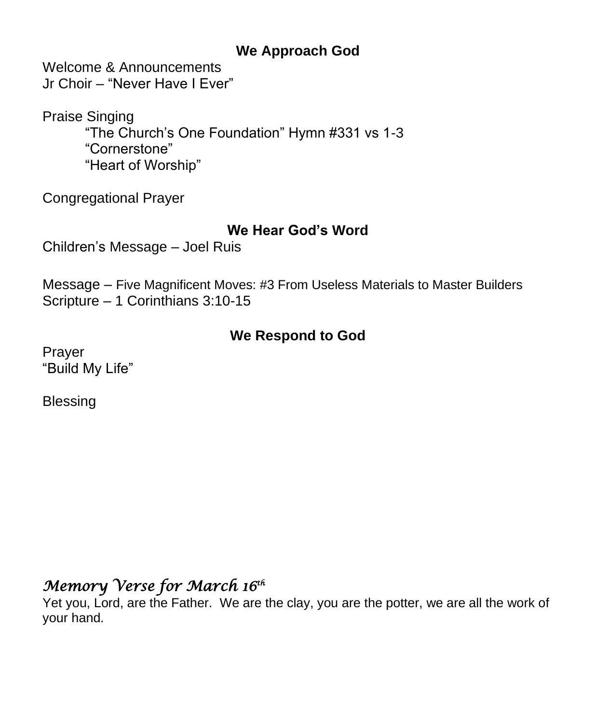### **We Approach God**

Welcome & Announcements Jr Choir – "Never Have I Ever"

Praise Singing "The Church's One Foundation" Hymn #331 vs 1-3 "Cornerstone" "Heart of Worship"

Congregational Prayer

### **We Hear God's Word**

Children's Message – Joel Ruis

Message – Five Magnificent Moves: #3 From Useless Materials to Master Builders Scripture – 1 Corinthians 3:10-15

### **We Respond to God**

Prayer "Build My Life"

**Blessing** 

# *Memory Verse for March 16th*

Yet you, Lord, are the Father. We are the clay, you are the potter, we are all the work of your hand.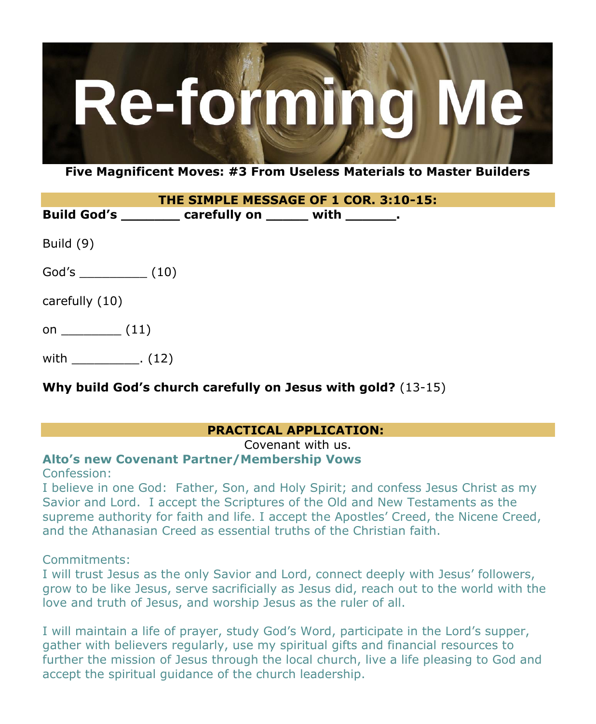

**Five Magnificent Moves: #3 From Useless Materials to Master Builders**

| THE SIMPLE MESSAGE OF 1 COR. 3:10-15: |                                                       |  |  |
|---------------------------------------|-------------------------------------------------------|--|--|
|                                       | Build God's ________ carefully on ______ with ______. |  |  |
| Build (9)                             |                                                       |  |  |
|                                       |                                                       |  |  |
| carefully (10)                        |                                                       |  |  |
| on $(11)$                             |                                                       |  |  |
| with                                  |                                                       |  |  |

#### **Why build God's church carefully on Jesus with gold?** (13-15)

#### **PRACTICAL APPLICATION:**

Covenant with us.

#### **Alto's new Covenant Partner/Membership Vows**

Confession:

I believe in one God: Father, Son, and Holy Spirit; and confess Jesus Christ as my Savior and Lord. I accept the Scriptures of the Old and New Testaments as the supreme authority for faith and life. I accept the Apostles' Creed, the Nicene Creed, and the Athanasian Creed as essential truths of the Christian faith.

Commitments:

I will trust Jesus as the only Savior and Lord, connect deeply with Jesus' followers, grow to be like Jesus, serve sacrificially as Jesus did, reach out to the world with the love and truth of Jesus, and worship Jesus as the ruler of all.

I will maintain a life of prayer, study God's Word, participate in the Lord's supper, gather with believers regularly, use my spiritual gifts and financial resources to further the mission of Jesus through the local church, live a life pleasing to God and accept the spiritual guidance of the church leadership.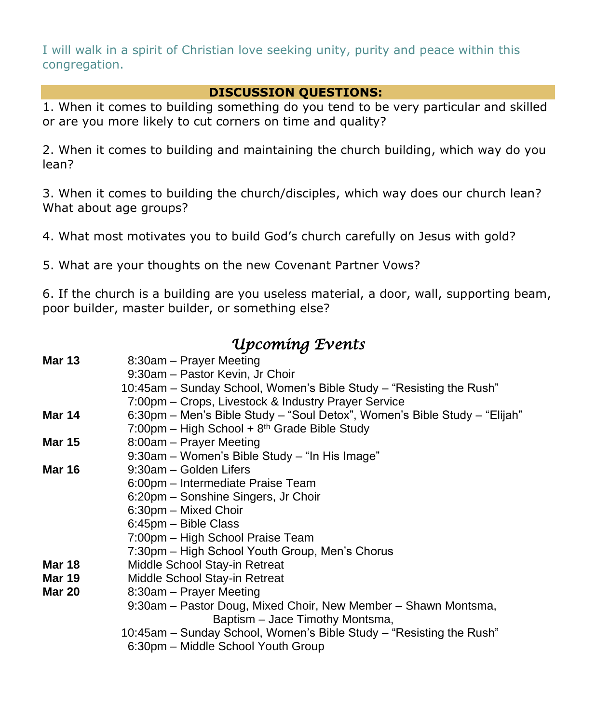I will walk in a spirit of Christian love seeking unity, purity and peace within this congregation.

#### **DISCUSSION QUESTIONS:**

1. When it comes to building something do you tend to be very particular and skilled or are you more likely to cut corners on time and quality?

2. When it comes to building and maintaining the church building, which way do you lean?

3. When it comes to building the church/disciples, which way does our church lean? What about age groups?

4. What most motivates you to build God's church carefully on Jesus with gold?

5. What are your thoughts on the new Covenant Partner Vows?

6. If the church is a building are you useless material, a door, wall, supporting beam, poor builder, master builder, or something else?

# *Upcoming Events*

| <b>Mar 13</b> | 8:30am - Prayer Meeting                                                   |
|---------------|---------------------------------------------------------------------------|
|               | 9:30am - Pastor Kevin, Jr Choir                                           |
|               | 10:45am – Sunday School, Women's Bible Study – "Resisting the Rush"       |
|               | 7:00pm – Crops, Livestock & Industry Prayer Service                       |
| Mar 14        | 6:30pm - Men's Bible Study - "Soul Detox", Women's Bible Study - "Elijah" |
|               | $7:00 \text{pm}$ – High School + 8 <sup>th</sup> Grade Bible Study        |
| <b>Mar 15</b> | 8:00am - Prayer Meeting                                                   |
|               | 9:30am - Women's Bible Study - "In His Image"                             |
| <b>Mar 16</b> | 9:30am - Golden Lifers                                                    |
|               | 6:00pm – Intermediate Praise Team                                         |
|               | 6:20pm - Sonshine Singers, Jr Choir                                       |
|               | 6:30pm - Mixed Choir                                                      |
|               | 6:45pm - Bible Class                                                      |
|               | 7:00pm - High School Praise Team                                          |
|               | 7:30pm - High School Youth Group, Men's Chorus                            |
| Mar 18        | Middle School Stay-in Retreat                                             |
| Mar 19        | Middle School Stay-in Retreat                                             |
| <b>Mar 20</b> | 8:30am - Prayer Meeting                                                   |
|               | 9:30am – Pastor Doug, Mixed Choir, New Member – Shawn Montsma,            |
|               | Baptism - Jace Timothy Montsma,                                           |
|               | 10:45am – Sunday School, Women's Bible Study – "Resisting the Rush"       |
|               | 6:30pm - Middle School Youth Group                                        |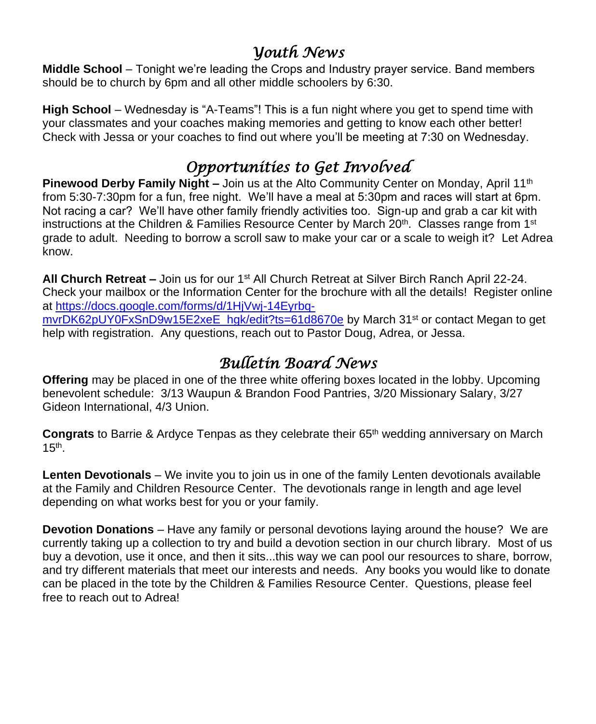## *Youth News*

**Middle School** – Tonight we're leading the Crops and Industry prayer service. Band members should be to church by 6pm and all other middle schoolers by 6:30.

**High School** – Wednesday is "A-Teams"! This is a fun night where you get to spend time with your classmates and your coaches making memories and getting to know each other better! Check with Jessa or your coaches to find out where you'll be meeting at 7:30 on Wednesday.

# *Opportunities to Get Involved*

**Pinewood Derby Family Night –** Join us at the Alto Community Center on Monday, April 11<sup>th</sup> from 5:30-7:30pm for a fun, free night. We'll have a meal at 5:30pm and races will start at 6pm. Not racing a car? We'll have other family friendly activities too. Sign-up and grab a car kit with instructions at the Children & Families Resource Center by March  $20<sup>th</sup>$ . Classes range from 1<sup>st</sup> grade to adult. Needing to borrow a scroll saw to make your car or a scale to weigh it? Let Adrea know.

**All Church Retreat –** Join us for our 1st All Church Retreat at Silver Birch Ranch April 22-24. Check your mailbox or the Information Center for the brochure with all the details! Register online at [https://docs.google.com/forms/d/1HjVwj-14Eyrbq](https://docs.google.com/forms/d/1HjVwj-14Eyrbq-mvrDK62pUY0FxSnD9w15E2xeE_hgk/edit?ts=61d8670e)[mvrDK62pUY0FxSnD9w15E2xeE\\_hgk/edit?ts=61d8670e](https://docs.google.com/forms/d/1HjVwj-14Eyrbq-mvrDK62pUY0FxSnD9w15E2xeE_hgk/edit?ts=61d8670e) by March 31<sup>st</sup> or contact Megan to get help with registration. Any questions, reach out to Pastor Doug, Adrea, or Jessa.

# *Bulletin Board News*

**Offering** may be placed in one of the three white offering boxes located in the lobby. Upcoming benevolent schedule: 3/13 Waupun & Brandon Food Pantries, 3/20 Missionary Salary, 3/27 Gideon International, 4/3 Union.

**Congrats** to Barrie & Ardyce Tenpas as they celebrate their 65th wedding anniversary on March  $15<sup>th</sup>$ .

**Lenten Devotionals** – We invite you to join us in one of the family Lenten devotionals available at the Family and Children Resource Center. The devotionals range in length and age level depending on what works best for you or your family.

**Devotion Donations** – Have any family or personal devotions laying around the house? We are currently taking up a collection to try and build a devotion section in our church library. Most of us buy a devotion, use it once, and then it sits...this way we can pool our resources to share, borrow, and try different materials that meet our interests and needs. Any books you would like to donate can be placed in the tote by the Children & Families Resource Center. Questions, please feel free to reach out to Adrea!